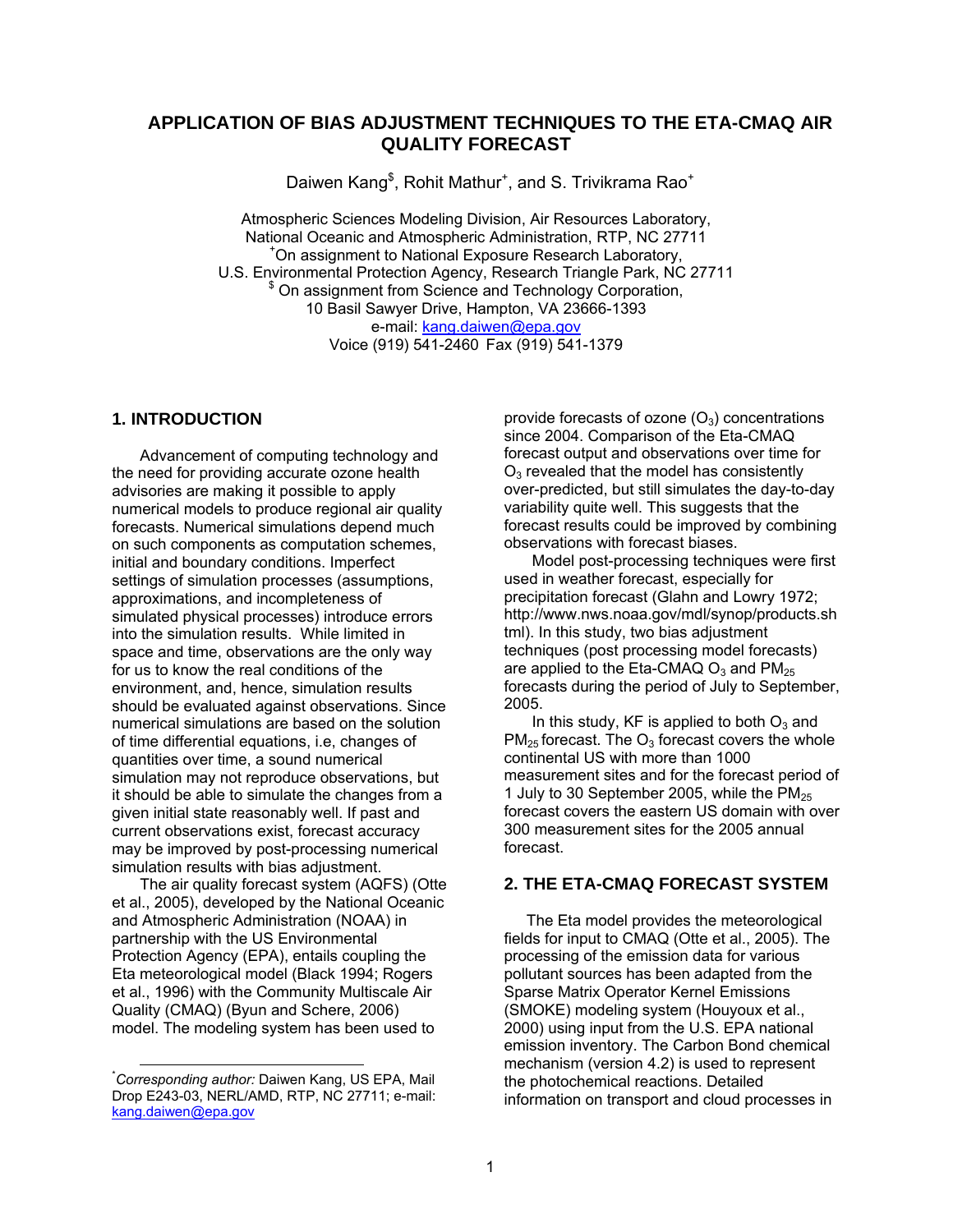# **APPLICATION OF BIAS ADJUSTMENT TECHNIQUES TO THE ETA-CMAQ AIR QUALITY FORECAST**

Daiwen Kang<sup>\$</sup>, Rohit Mathur<sup>+</sup>, and S. Trivikrama Rao<sup>+</sup>

Atmospheric Sciences Modeling Division, Air Resources Laboratory, National Oceanic and Atmospheric Administration, RTP, NC 27711 On assignment to National Exposure Research Laboratory, U.S. Environmental Protection Agency, Research Triangle Park, NC 27711 <sup>\$</sup> On assignment from Science and Technology Corporation, 10 Basil Sawyer Drive, Hampton, VA 23666-1393 e-mail: kang.daiwen@epa.gov Voice (919) 541-2460 Fax (919) 541-1379

### **1. INTRODUCTION**

Advancement of computing technology and the need for providing accurate ozone health advisories are making it possible to apply numerical models to produce regional air quality forecasts. Numerical simulations depend much on such components as computation schemes, initial and boundary conditions. Imperfect settings of simulation processes (assumptions, approximations, and incompleteness of simulated physical processes) introduce errors into the simulation results. While limited in space and time, observations are the only way for us to know the real conditions of the environment, and, hence, simulation results should be evaluated against observations. Since numerical simulations are based on the solution of time differential equations, i.e, changes of quantities over time, a sound numerical simulation may not reproduce observations, but it should be able to simulate the changes from a given initial state reasonably well. If past and current observations exist, forecast accuracy may be improved by post-processing numerical simulation results with bias adjustment.

The air quality forecast system (AQFS) (Otte et al., 2005), developed by the National Oceanic and Atmospheric Administration (NOAA) in partnership with the US Environmental Protection Agency (EPA), entails coupling the Eta meteorological model (Black 1994; Rogers et al., 1996) with the Community Multiscale Air Quality (CMAQ) (Byun and Schere, 2006) model. The modeling system has been used to

provide forecasts of ozone  $(O_3)$  concentrations since 2004. Comparison of the Eta-CMAQ forecast output and observations over time for  $O<sub>3</sub>$  revealed that the model has consistently over-predicted, but still simulates the day-to-day variability quite well. This suggests that the forecast results could be improved by combining observations with forecast biases.

Model post-processing techniques were first used in weather forecast, especially for precipitation forecast (Glahn and Lowry 1972; http://www.nws.noaa.gov/mdl/synop/products.sh tml). In this study, two bias adjustment techniques (post processing model forecasts) are applied to the Eta-CMAQ  $O_3$  and PM<sub>25</sub> forecasts during the period of July to September, 2005.

In this study, KF is applied to both  $O<sub>3</sub>$  and  $PM_{25}$  forecast. The  $O_3$  forecast covers the whole continental US with more than 1000 measurement sites and for the forecast period of 1 July to 30 September 2005, while the  $PM<sub>25</sub>$ forecast covers the eastern US domain with over 300 measurement sites for the 2005 annual forecast.

### **2. THE ETA-CMAQ FORECAST SYSTEM**

The Eta model provides the meteorological fields for input to CMAQ (Otte et al., 2005). The processing of the emission data for various pollutant sources has been adapted from the Sparse Matrix Operator Kernel Emissions (SMOKE) modeling system (Houyoux et al., 2000) using input from the U.S. EPA national emission inventory. The Carbon Bond chemical mechanism (version 4.2) is used to represent the photochemical reactions. Detailed information on transport and cloud processes in

 <sup>\*</sup> *Corresponding author:* Daiwen Kang, US EPA, Mail Drop E243-03, NERL/AMD, RTP, NC 27711; e-mail: kang.daiwen@epa.gov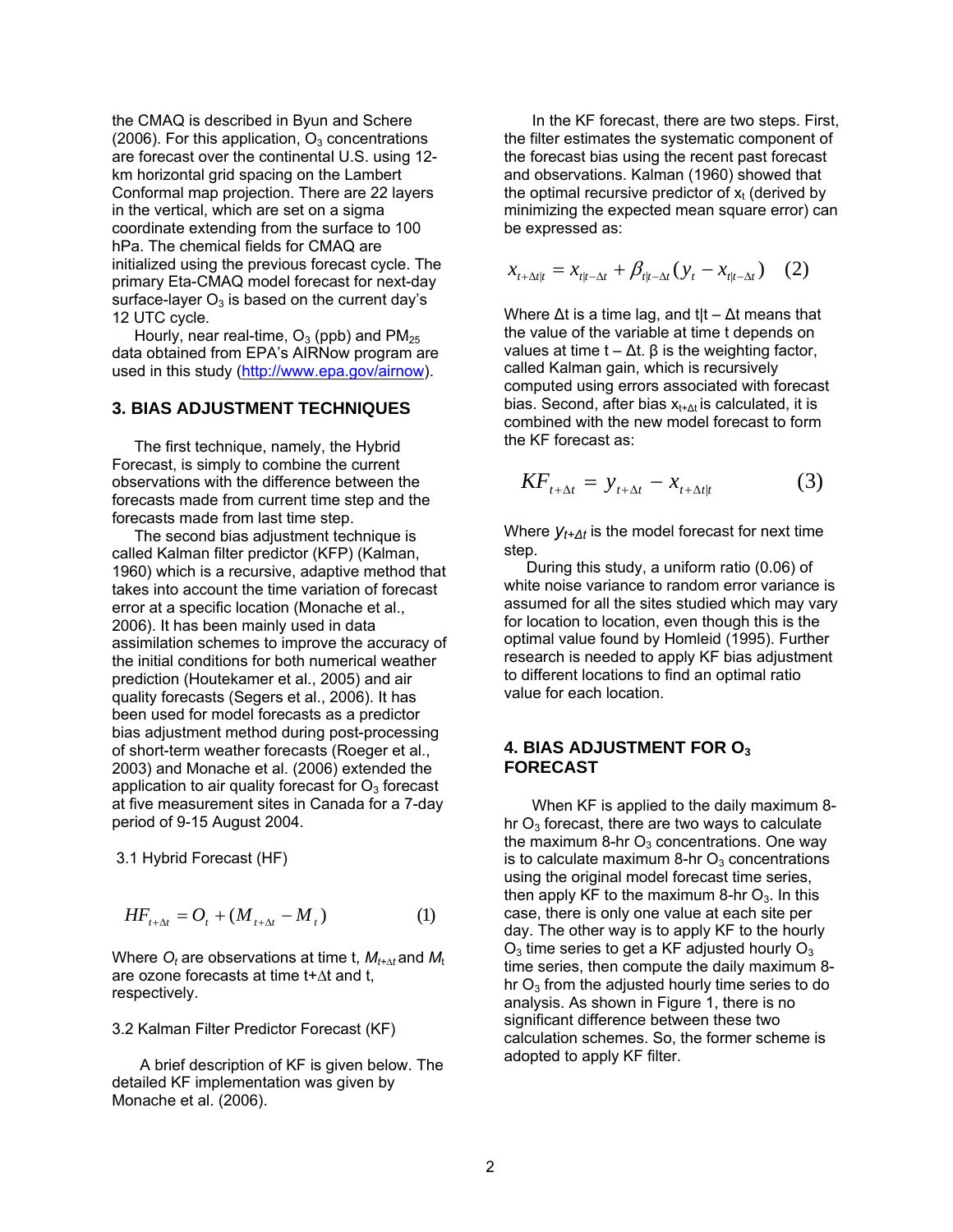the CMAQ is described in Byun and Schere (2006). For this application,  $O_3$  concentrations are forecast over the continental U.S. using 12 km horizontal grid spacing on the Lambert Conformal map projection. There are 22 layers in the vertical, which are set on a sigma coordinate extending from the surface to 100 hPa. The chemical fields for CMAQ are initialized using the previous forecast cycle. The primary Eta-CMAQ model forecast for next-day surface-layer  $O_3$  is based on the current day's 12 UTC cycle.

Hourly, near real-time,  $O_3$  (ppb) and  $PM_{25}$ data obtained from EPA's AIRNow program are used in this study (http://www.epa.gov/airnow).

## **3. BIAS ADJUSTMENT TECHNIQUES**

The first technique, namely, the Hybrid Forecast, is simply to combine the current observations with the difference between the forecasts made from current time step and the forecasts made from last time step.

The second bias adjustment technique is called Kalman filter predictor (KFP) (Kalman, 1960) which is a recursive, adaptive method that takes into account the time variation of forecast error at a specific location (Monache et al., 2006). It has been mainly used in data assimilation schemes to improve the accuracy of the initial conditions for both numerical weather prediction (Houtekamer et al., 2005) and air quality forecasts (Segers et al., 2006). It has been used for model forecasts as a predictor bias adjustment method during post-processing of short-term weather forecasts (Roeger et al., 2003) and Monache et al. (2006) extended the application to air quality forecast for  $O<sub>3</sub>$  forecast at five measurement sites in Canada for a 7-day period of 9-15 August 2004.

3.1 Hybrid Forecast (HF)

$$
HF_{t+\Delta t} = O_t + (M_{t+\Delta t} - M_t)
$$
 (1)

Where  $O_t$  are observations at time t,  $M_{t+\Delta t}$  and  $M_t$ are ozone forecasts at time t+∆t and t, respectively.

3.2 Kalman Filter Predictor Forecast (KF)

A brief description of KF is given below. The detailed KF implementation was given by Monache et al. (2006).

In the KF forecast, there are two steps. First, the filter estimates the systematic component of the forecast bias using the recent past forecast and observations. Kalman (1960) showed that the optimal recursive predictor of  $x_t$  (derived by minimizing the expected mean square error) can be expressed as:

$$
x_{t+\Delta t|t} = x_{t|t-\Delta t} + \beta_{t|t-\Delta t} (y_t - x_{t|t-\Delta t}) \quad (2)
$$

Where ∆t is a time lag, and t|t – ∆t means that the value of the variable at time t depends on values at time  $t - \Delta t$ . β is the weighting factor, called Kalman gain, which is recursively computed using errors associated with forecast bias. Second, after bias  $x_{t+\Delta t}$  is calculated, it is combined with the new model forecast to form the KF forecast as:

$$
KF_{t+\Delta t} = y_{t+\Delta t} - x_{t+\Delta t|t} \tag{3}
$$

Where *yt+∆t* is the model forecast for next time step.

During this study, a uniform ratio (0.06) of white noise variance to random error variance is assumed for all the sites studied which may vary for location to location, even though this is the optimal value found by Homleid (1995). Further research is needed to apply KF bias adjustment to different locations to find an optimal ratio value for each location.

#### **4. BIAS ADJUSTMENT FOR O3 FORECAST**

When KF is applied to the daily maximum 8 hr  $O_3$  forecast, there are two ways to calculate the maximum 8-hr  $O_3$  concentrations. One way is to calculate maximum 8-hr  $O_3$  concentrations using the original model forecast time series, then apply KF to the maximum 8-hr  $O_3$ . In this case, there is only one value at each site per day. The other way is to apply KF to the hourly  $O_3$  time series to get a KF adjusted hourly  $O_3$ time series, then compute the daily maximum 8 hr  $O_3$  from the adjusted hourly time series to do analysis. As shown in Figure 1, there is no significant difference between these two calculation schemes. So, the former scheme is adopted to apply KF filter.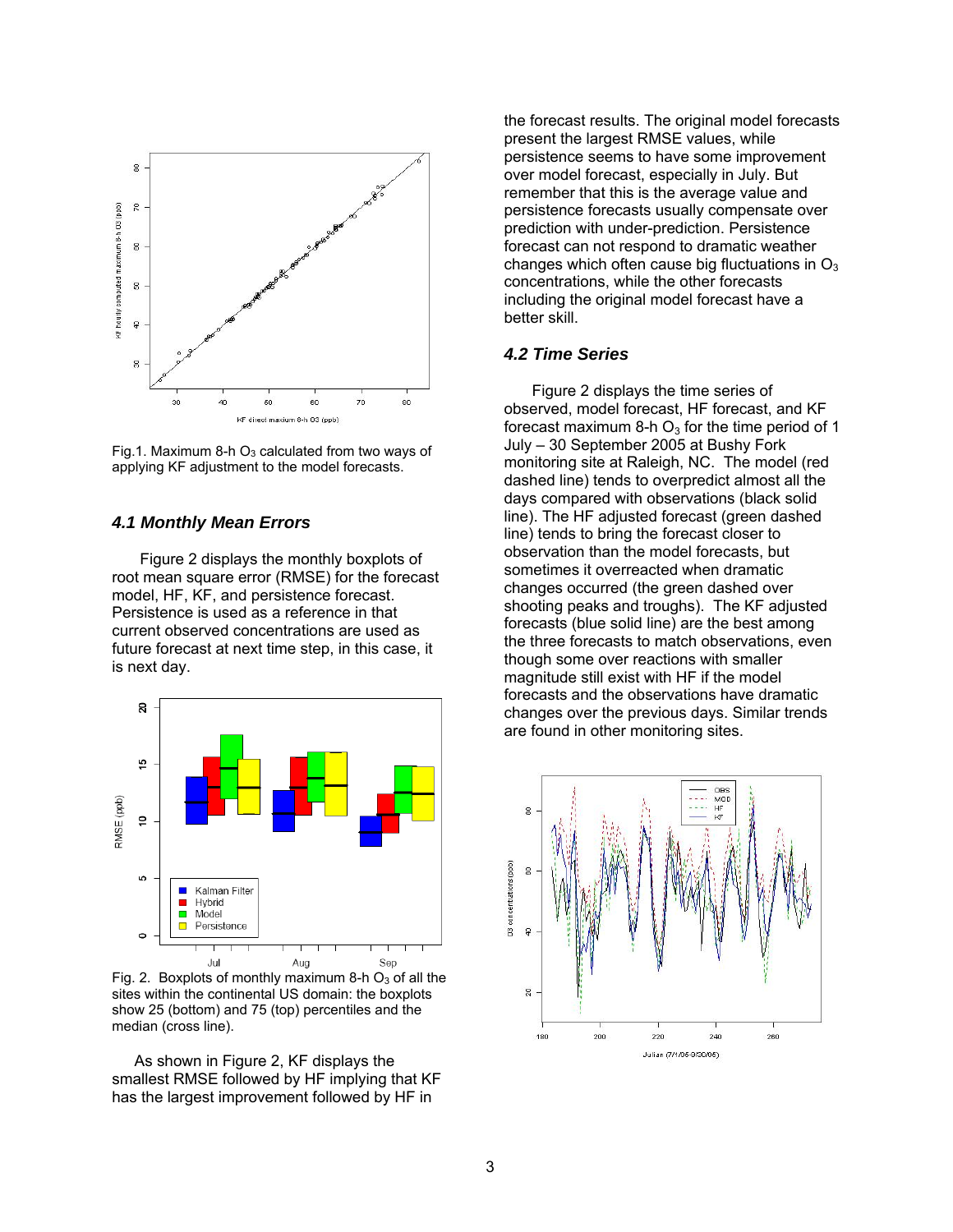

Fig.1. Maximum 8-h  $O_3$  calculated from two ways of applying KF adjustment to the model forecasts.

## *4.1 Monthly Mean Errors*

Figure 2 displays the monthly boxplots of root mean square error (RMSE) for the forecast model, HF, KF, and persistence forecast. Persistence is used as a reference in that current observed concentrations are used as future forecast at next time step, in this case, it is next day.



Fig. 2. Boxplots of monthly maximum 8-h  $O<sub>3</sub>$  of all the sites within the continental US domain: the boxplots show 25 (bottom) and 75 (top) percentiles and the median (cross line).

 As shown in Figure 2, KF displays the smallest RMSE followed by HF implying that KF has the largest improvement followed by HF in

the forecast results. The original model forecasts present the largest RMSE values, while persistence seems to have some improvement over model forecast, especially in July. But remember that this is the average value and persistence forecasts usually compensate over prediction with under-prediction. Persistence forecast can not respond to dramatic weather changes which often cause big fluctuations in  $O_3$ concentrations, while the other forecasts including the original model forecast have a better skill.

### *4.2 Time Series*

Figure 2 displays the time series of observed, model forecast, HF forecast, and KF forecast maximum 8-h  $O<sub>3</sub>$  for the time period of 1 July – 30 September 2005 at Bushy Fork monitoring site at Raleigh, NC. The model (red dashed line) tends to overpredict almost all the days compared with observations (black solid line). The HF adjusted forecast (green dashed line) tends to bring the forecast closer to observation than the model forecasts, but sometimes it overreacted when dramatic changes occurred (the green dashed over shooting peaks and troughs). The KF adjusted forecasts (blue solid line) are the best among the three forecasts to match observations, even though some over reactions with smaller magnitude still exist with HF if the model forecasts and the observations have dramatic changes over the previous days. Similar trends are found in other monitoring sites.

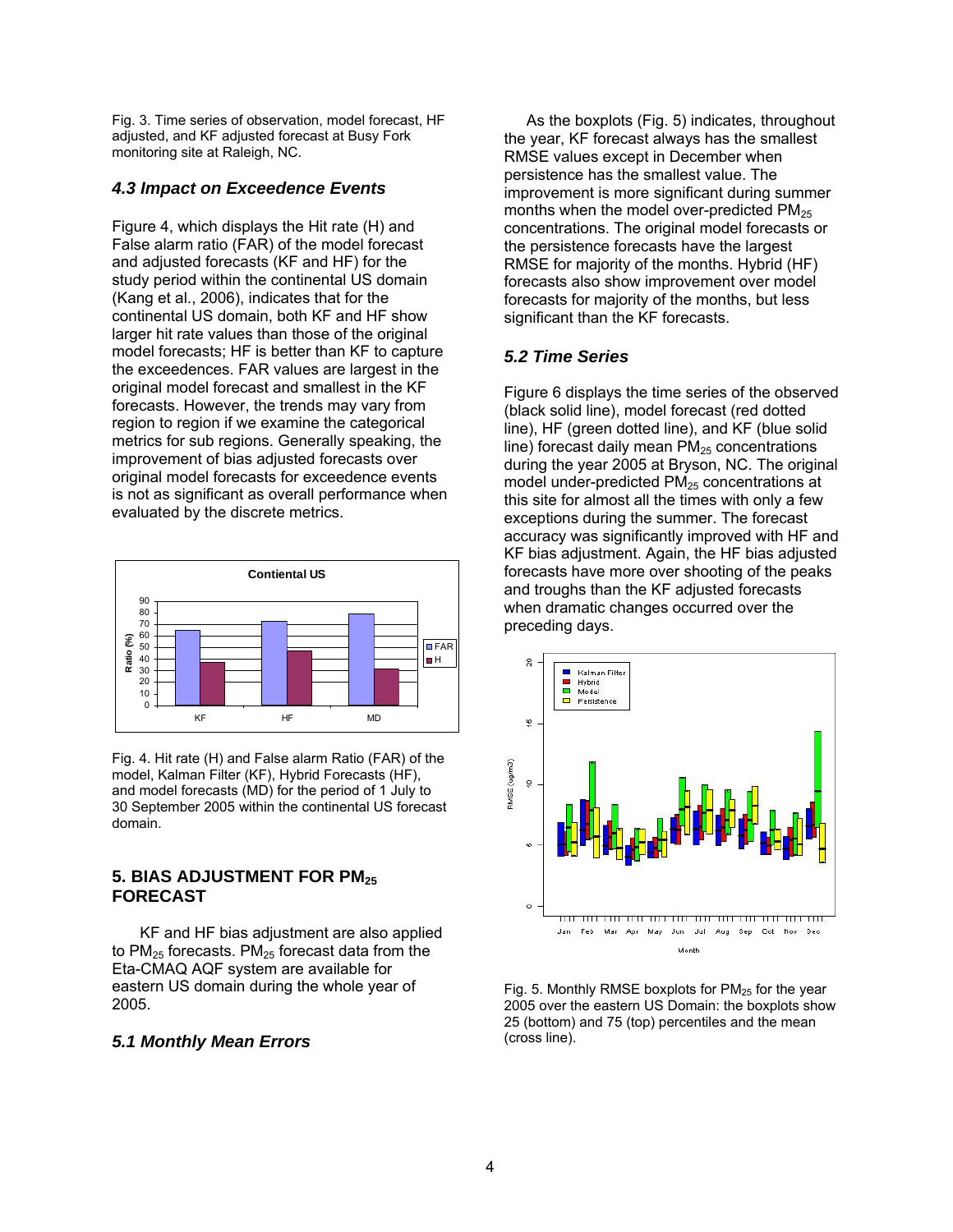Fig. 3. Time series of observation, model forecast, HF adjusted, and KF adjusted forecast at Busy Fork monitoring site at Raleigh, NC.

#### *4.3 Impact on Exceedence Events*

Figure 4, which displays the Hit rate (H) and False alarm ratio (FAR) of the model forecast and adjusted forecasts (KF and HF) for the study period within the continental US domain (Kang et al., 2006), indicates that for the continental US domain, both KF and HF show larger hit rate values than those of the original model forecasts; HF is better than KF to capture the exceedences. FAR values are largest in the original model forecast and smallest in the KF forecasts. However, the trends may vary from region to region if we examine the categorical metrics for sub regions. Generally speaking, the improvement of bias adjusted forecasts over original model forecasts for exceedence events is not as significant as overall performance when evaluated by the discrete metrics.



Fig. 4. Hit rate (H) and False alarm Ratio (FAR) of the model, Kalman Filter (KF), Hybrid Forecasts (HF), and model forecasts (MD) for the period of 1 July to 30 September 2005 within the continental US forecast domain.

### **5. BIAS ADJUSTMENT FOR PM25 FORECAST**

KF and HF bias adjustment are also applied to  $PM<sub>25</sub>$  forecasts. PM $<sub>25</sub>$  forecast data from the</sub> Eta-CMAQ AQF system are available for eastern US domain during the whole year of 2005.

#### *5.1 Monthly Mean Errors*

 As the boxplots (Fig. 5) indicates, throughout the year, KF forecast always has the smallest RMSE values except in December when persistence has the smallest value. The improvement is more significant during summer months when the model over-predicted  $PM<sub>25</sub>$ concentrations. The original model forecasts or the persistence forecasts have the largest RMSE for majority of the months. Hybrid (HF) forecasts also show improvement over model forecasts for majority of the months, but less significant than the KF forecasts.

#### *5.2 Time Series*

Figure 6 displays the time series of the observed (black solid line), model forecast (red dotted line), HF (green dotted line), and KF (blue solid line) forecast daily mean  $PM<sub>25</sub>$  concentrations during the year 2005 at Bryson, NC. The original model under-predicted  $PM<sub>25</sub>$  concentrations at this site for almost all the times with only a few exceptions during the summer. The forecast accuracy was significantly improved with HF and KF bias adjustment. Again, the HF bias adjusted forecasts have more over shooting of the peaks and troughs than the KF adjusted forecasts when dramatic changes occurred over the preceding days.



Fig. 5. Monthly RMSE boxplots for  $PM<sub>25</sub>$  for the year 2005 over the eastern US Domain: the boxplots show 25 (bottom) and 75 (top) percentiles and the mean (cross line).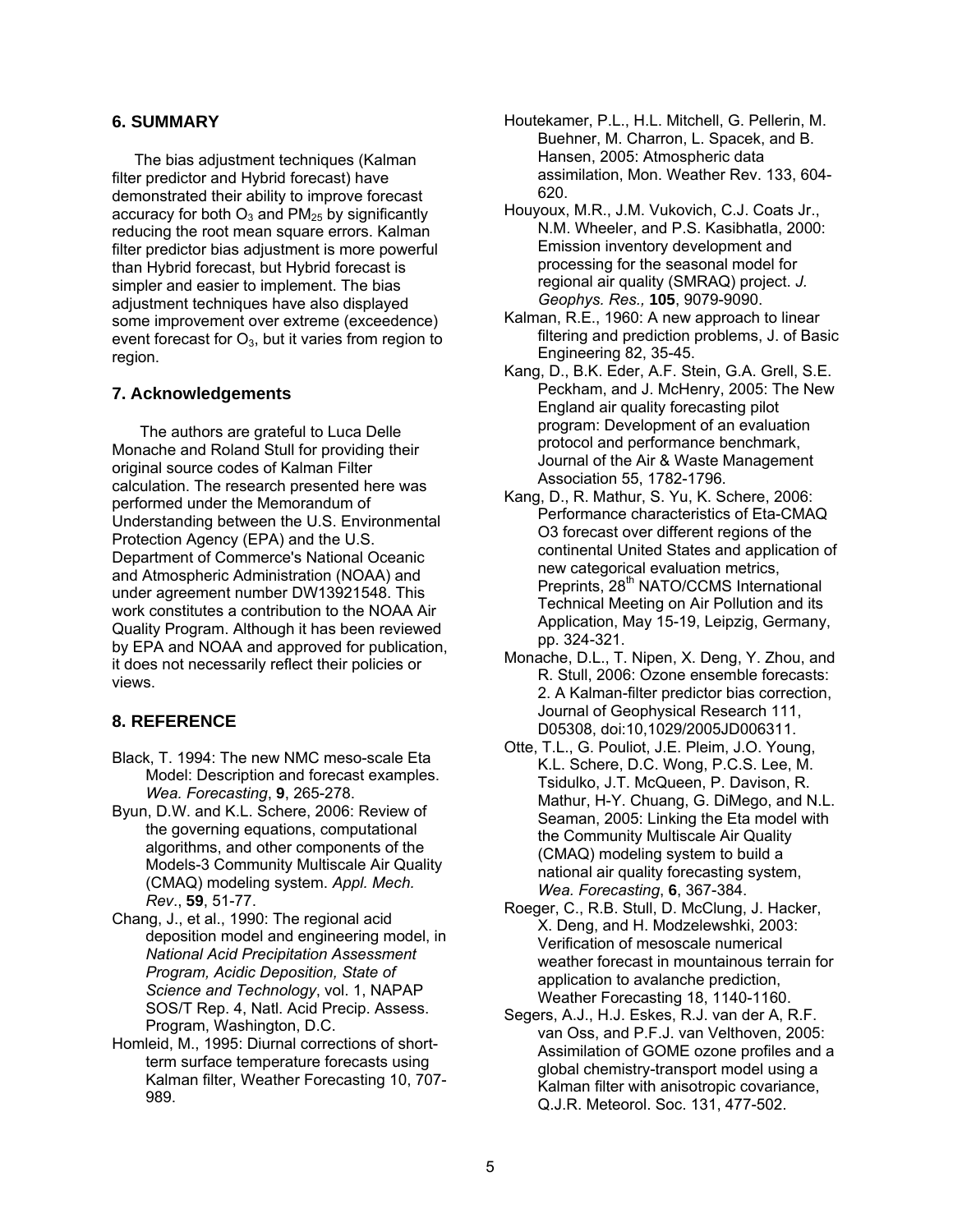### **6. SUMMARY**

The bias adjustment techniques (Kalman filter predictor and Hybrid forecast) have demonstrated their ability to improve forecast accuracy for both  $O_3$  and PM<sub>25</sub> by significantly reducing the root mean square errors. Kalman filter predictor bias adjustment is more powerful than Hybrid forecast, but Hybrid forecast is simpler and easier to implement. The bias adjustment techniques have also displayed some improvement over extreme (exceedence) event forecast for  $O_3$ , but it varies from region to region.

### **7. Acknowledgements**

The authors are grateful to Luca Delle Monache and Roland Stull for providing their original source codes of Kalman Filter calculation. The research presented here was performed under the Memorandum of Understanding between the U.S. Environmental Protection Agency (EPA) and the U.S. Department of Commerce's National Oceanic and Atmospheric Administration (NOAA) and under agreement number DW13921548. This work constitutes a contribution to the NOAA Air Quality Program. Although it has been reviewed by EPA and NOAA and approved for publication, it does not necessarily reflect their policies or views.

## **8. REFERENCE**

- Black, T. 1994: The new NMC meso-scale Eta Model: Description and forecast examples. *Wea. Forecasting*, **9**, 265-278.
- Byun, D.W. and K.L. Schere, 2006: Review of the governing equations, computational algorithms, and other components of the Models-3 Community Multiscale Air Quality (CMAQ) modeling system. *Appl. Mech. Rev*., **59**, 51-77.
- Chang, J., et al., 1990: The regional acid deposition model and engineering model, in *National Acid Precipitation Assessment Program, Acidic Deposition, State of Science and Technology*, vol. 1, NAPAP SOS/T Rep. 4, Natl. Acid Precip. Assess. Program, Washington, D.C.
- Homleid, M., 1995: Diurnal corrections of shortterm surface temperature forecasts using Kalman filter, Weather Forecasting 10, 707- 989.
- Houtekamer, P.L., H.L. Mitchell, G. Pellerin, M. Buehner, M. Charron, L. Spacek, and B. Hansen, 2005: Atmospheric data assimilation, Mon. Weather Rev. 133, 604- 620.
- Houyoux, M.R., J.M. Vukovich, C.J. Coats Jr., N.M. Wheeler, and P.S. Kasibhatla, 2000: Emission inventory development and processing for the seasonal model for regional air quality (SMRAQ) project. *J. Geophys. Res.,* **105**, 9079-9090.
- Kalman, R.E., 1960: A new approach to linear filtering and prediction problems, J. of Basic Engineering 82, 35-45.
- Kang, D., B.K. Eder, A.F. Stein, G.A. Grell, S.E. Peckham, and J. McHenry, 2005: The New England air quality forecasting pilot program: Development of an evaluation protocol and performance benchmark, Journal of the Air & Waste Management Association 55, 1782-1796.
- Kang, D., R. Mathur, S. Yu, K. Schere, 2006: Performance characteristics of Eta-CMAQ O3 forecast over different regions of the continental United States and application of new categorical evaluation metrics, Preprints, 28<sup>th</sup> NATO/CCMS International Technical Meeting on Air Pollution and its Application, May 15-19, Leipzig, Germany, pp. 324-321.
- Monache, D.L., T. Nipen, X. Deng, Y. Zhou, and R. Stull, 2006: Ozone ensemble forecasts: 2. A Kalman-filter predictor bias correction, Journal of Geophysical Research 111, D05308, doi:10,1029/2005JD006311.
- Otte, T.L., G. Pouliot, J.E. Pleim, J.O. Young, K.L. Schere, D.C. Wong, P.C.S. Lee, M. Tsidulko, J.T. McQueen, P. Davison, R. Mathur, H-Y. Chuang, G. DiMego, and N.L. Seaman, 2005: Linking the Eta model with the Community Multiscale Air Quality (CMAQ) modeling system to build a national air quality forecasting system, *Wea. Forecasting*, **6**, 367-384.
- Roeger, C., R.B. Stull, D. McClung, J. Hacker, X. Deng, and H. Modzelewshki, 2003: Verification of mesoscale numerical weather forecast in mountainous terrain for application to avalanche prediction, Weather Forecasting 18, 1140-1160.
- Segers, A.J., H.J. Eskes, R.J. van der A, R.F. van Oss, and P.F.J. van Velthoven, 2005: Assimilation of GOME ozone profiles and a global chemistry-transport model using a Kalman filter with anisotropic covariance, Q.J.R. Meteorol. Soc. 131, 477-502.